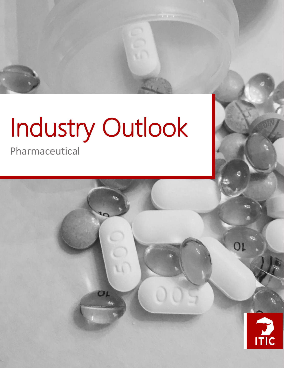# Industry Outlook

OL

Pharmaceutical



OL

*Pharmaceutical Industry Outlook*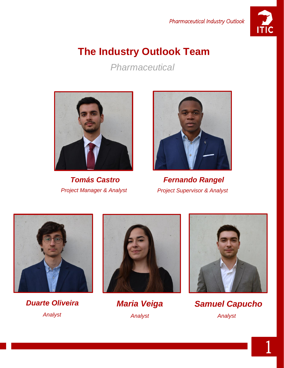

# **The Industry Outlook Team**

*Pharmaceutical*





*Tomás Castro Fernando Rangel Project Manager & Analyst Project Supervisor & Analyst*



*Duarte Oliveira Maria Veiga Analyst Analyst*





*Samuel Capucho Analyst*

1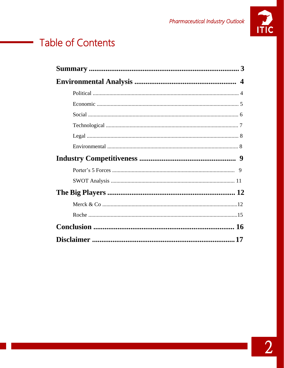

# **Table of Contents**

 $\sim 10^{10}$  km s  $^{-1}$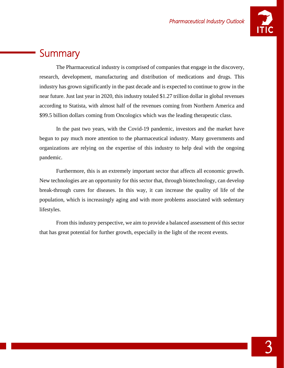

## **Summary**

The Pharmaceutical industry is comprised of companies that engage in the discovery, research, development, manufacturing and distribution of medications and drugs. This industry has grown significantly in the past decade and is expected to continue to grow in the near future. Just last year in 2020, this industry totaled \$1.27 trillion dollar in global revenues according to Statista, with almost half of the revenues coming from Northern America and \$99.5 billion dollars coming from Oncologics which was the leading therapeutic class.

In the past two years, with the Covid-19 pandemic, investors and the market have begun to pay much more attention to the pharmaceutical industry. Many governments and organizations are relying on the expertise of this industry to help deal with the ongoing pandemic.

Furthermore, this is an extremely important sector that affects all economic growth. New technologies are an opportunity for this sector that, through biotechnology, can develop break-through cures for diseases. In this way, it can increase the quality of life of the population, which is increasingly aging and with more problems associated with sedentary lifestyles.

From this industry perspective, we aim to provide a balanced assessment of this sector that has great potential for further growth, especially in the light of the recent events.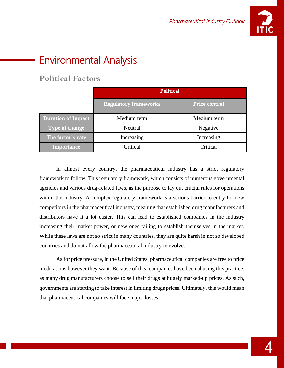

# Environmental Analysis

## **Political Factors**

|                           | <b>Political</b>             |                      |
|---------------------------|------------------------------|----------------------|
|                           | <b>Regulatory frameworks</b> | <b>Price control</b> |
| <b>Duration of Impact</b> | Medium term                  | Medium term          |
| <b>Type of change</b>     | Neutral                      | Negative             |
| The factor's rate         | Increasing                   | Increasing           |
| <b>Importance</b>         | Critical                     | Critical             |

In almost every country, the pharmaceutical industry has a strict regulatory framework to follow. This regulatory framework, which consists of numerous governmental agencies and various drug-related laws, as the purpose to lay out crucial rules for operations within the industry. A complex regulatory framework is a serious barrier to entry for new competitors in the pharmaceutical industry, meaning that established drug manufacturers and distributors have it a lot easier. This can lead to established companies in the industry increasing their market power, or new ones failing to establish themselves in the market. While these laws are not so strict in many countries, they are quite harsh in not so developed countries and do not allow the pharmaceutical industry to evolve.

As for price pressure, in the United States, pharmaceutical companies are free to price medications however they want. Because of this, companies have been abusing this practice, as many drug manufacturers choose to sell their drugs at hugely marked-up prices. As such, governments are starting to take interest in limiting drugs prices. Ultimately, this would mean that pharmaceutical companies will face major losses.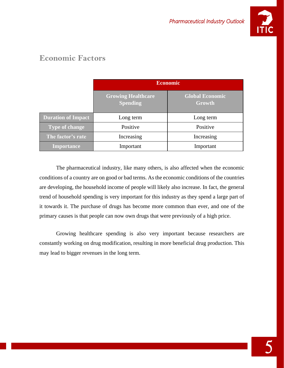

## **Economic Factors**

|                           | <b>Economic</b>                              |                                  |
|---------------------------|----------------------------------------------|----------------------------------|
|                           | <b>Growing Healthcare</b><br><b>Spending</b> | <b>Global Economic</b><br>Growth |
| <b>Duration of Impact</b> | Long term                                    | Long term                        |
| <b>Type of change</b>     | Positive                                     | Positive                         |
| The factor's rate         | Increasing                                   | Increasing                       |
| <b>Importance</b>         | Important                                    | Important                        |

The pharmaceutical industry, like many others, is also affected when the economic conditions of a country are on good or bad terms. As the economic conditions of the countries are developing, the household income of people will likely also increase. In fact, the general trend of household spending is very important for this industry as they spend a large part of it towards it. The purchase of drugs has become more common than ever, and one of the primary causes is that people can now own drugs that were previously of a high price.

Growing healthcare spending is also very important because researchers are constantly working on drug modification, resulting in more beneficial drug production. This may lead to bigger revenues in the long term.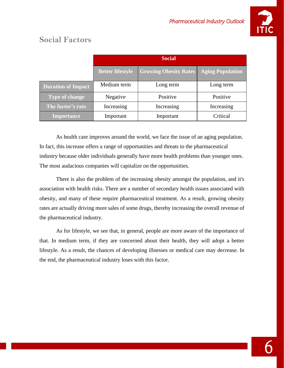

|                           | <b>Social</b>           |                              |                         |
|---------------------------|-------------------------|------------------------------|-------------------------|
|                           | <b>Better lifestyle</b> | <b>Growing Obesity Rates</b> | <b>Aging Population</b> |
| <b>Duration of Impact</b> | Medium term             | Long term                    | Long term               |
| <b>Type of change</b>     | Negative                | Positive                     | Positive                |
| The factor's rate         | Increasing              | Increasing                   | Increasing              |
| <b>Importance</b>         | Important               | Important                    | Critical                |

## **Social Factors**

As health care improves around the world, we face the issue of an aging population. In fact, this increase offers a range of opportunities and threats to the pharmaceutical industry because older individuals generally have more health problems than younger ones. The most audacious companies will capitalize on the opportunities.

There is also the problem of the increasing obesity amongst the population, and it's association with health risks. There are a number of secondary health issues associated with obesity, and many of these require pharmaceutical treatment. As a result, growing obesity rates are actually driving more sales of some drugs, thereby increasing the overall revenue of the pharmaceutical industry.

As for lifestyle, we see that, in general, people are more aware of the importance of that. In medium term, if they are concerned about their health, they will adopt a better lifestyle. As a result, the chances of developing illnesses or medical care may decrease. In the end, the pharmaceutical industry loses with this factor.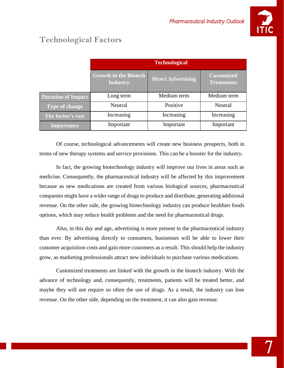

## **Technological Factors**

|                           | <b>Technological</b>                            |                           |                                        |
|---------------------------|-------------------------------------------------|---------------------------|----------------------------------------|
|                           | <b>Growth in the Biotech</b><br><b>Industry</b> | <b>Direct Advertising</b> | <b>Customized</b><br><b>Treatments</b> |
| <b>Duration of Impact</b> | Long term                                       | Medium term               | Medium term                            |
| <b>Type of change</b>     | Neutral                                         | Positive                  | Neutral                                |
| The factor's rate         | Increasing                                      | Increasing                | Increasing                             |
| <b>Importance</b>         | Important                                       | Important                 | Important                              |

Of course, technological advancements will create new business prospects, both in terms of new therapy systems and service provisions. This can be a booster for the industry.

In fact, the growing biotechnology industry will improve our lives in areas such as medicine. Consequently, the pharmaceutical industry will be affected by this improvement because as new medications are created from various biological sources, pharmaceutical companies might have a wider range of drugs to produce and distribute, generating additional revenue. On the other side, the growing biotechnology industry can produce healthier foods options, which may reduce health problems and the need for pharmaceutical drugs.

Also, in this day and age, advertising is more present in the pharmaceutical industry than ever. By advertising directly to consumers, businesses will be able to lower their customer acquisition costs and gain more customers as a result. This should help the industry grow, as marketing professionals attract new individuals to purchase various medications.

Customized treatments are linked with the growth in the biotech industry. With the advance of technology and, consequently, treatments, patients will be treated better, and maybe they will not require so often the use of drugs. As a result, the industry can lose revenue. On the other side, depending on the treatment, it can also gain revenue.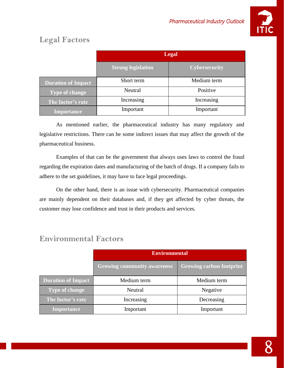

## **Legal Factors**

|                           | <b>Legal</b>              |                      |
|---------------------------|---------------------------|----------------------|
|                           | <b>Strong legislation</b> | <b>Cybersecurity</b> |
| <b>Duration of Impact</b> | Short term                | Medium term          |
| <b>Type of change</b>     | Neutral                   | Positive             |
| The factor's rate         | Increasing                | Increasing           |
| <b>Importance</b>         | Important                 | Important            |

As mentioned earlier, the pharmaceutical industry has many regulatory and legislative restrictions. There can be some indirect issues that may affect the growth of the pharmaceutical business.

Examples of that can be the government that always uses laws to control the fraud regarding the expiration dates and manufacturing of the batch of drugs. If a company fails to adhere to the set guidelines, it may have to face legal proceedings.

On the other hand, there is an issue with cybersecurity. Pharmaceutical companies are mainly dependent on their databases and, if they get affected by cyber threats, the customer may lose confidence and trust in their products and services.

|                           | <b>Environmental</b>               |                                 |
|---------------------------|------------------------------------|---------------------------------|
|                           | <b>Growing community awareness</b> | <b>Growing carbon footprint</b> |
| <b>Duration of Impact</b> | Medium term                        | Medium term                     |
| <b>Type of change</b>     | Neutral                            | Negative                        |
| The factor's rate         | Increasing                         | Decreasing                      |
| <b>Importance</b>         | Important                          | Important                       |

### **Environmental Factors**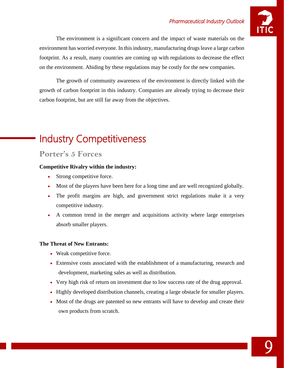

The environment is a significant concern and the impact of waste materials on the environment has worried everyone. In this industry, manufacturing drugs leave a large carbon footprint. As a result, many countries are coming up with regulations to decrease the effect on the environment. Abiding by these regulations may be costly for the new companies.

The growth of community awareness of the environment is directly linked with the growth of carbon footprint in this industry. Companies are already trying to decrease their carbon footprint, but are still far away from the objectives.

# Industry Competitiveness

#### **Porter's 5 Forces**

#### **Competitive Rivalry within the industry:**

- Strong competitive force.
- Most of the players have been here for a long time and are well recognized globally.
- The profit margins are high, and government strict regulations make it a very competitive industry.
- A common trend in the merger and acquisitions activity where large enterprises absorb smaller players.

#### **The Threat of New Entrants:**

- Weak competitive force.
- Extensive costs associated with the establishment of a manufacturing, research and development, marketing sales as well as distribution.
- Very high risk of return on investment due to low success rate of the drug approval.
- Highly developed distribution channels, creating a large obstacle for smaller players.
- Most of the drugs are patented so new entrants will have to develop and create their own products from scratch.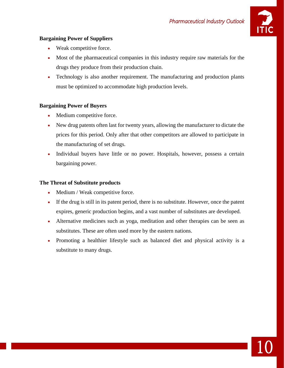

10

#### **Bargaining Power of Suppliers**

- Weak competitive force.
- Most of the pharmaceutical companies in this industry require raw materials for the drugs they produce from their production chain.
- Technology is also another requirement. The manufacturing and production plants must be optimized to accommodate high production levels.

#### **Bargaining Power of Buyers**

- Medium competitive force.
- New drug patents often last for twenty years, allowing the manufacturer to dictate the prices for this period. Only after that other competitors are allowed to participate in the manufacturing of set drugs.
- Individual buyers have little or no power. Hospitals, however, possess a certain bargaining power.

#### **The Threat of Substitute products**

- Medium / Weak competitive force.
- If the drug is still in its patent period, there is no substitute. However, once the patent expires, generic production begins, and a vast number of substitutes are developed.
- Alternative medicines such as yoga, meditation and other therapies can be seen as substitutes. These are often used more by the eastern nations.
- Promoting a healthier lifestyle such as balanced diet and physical activity is a substitute to many drugs.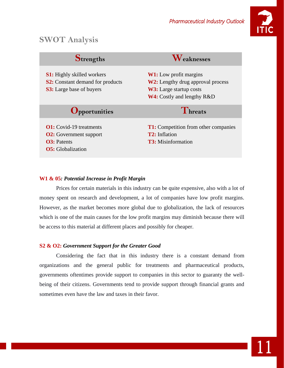

11

## **SWOT Analysis**

| Strengths                                                                                                       | $\boldsymbol{N}$ eaknesses                                                                                                                       |
|-----------------------------------------------------------------------------------------------------------------|--------------------------------------------------------------------------------------------------------------------------------------------------|
| <b>S1:</b> Highly skilled workers<br><b>S2:</b> Constant demand for products<br><b>S3:</b> Large base of buyers | <b>W1:</b> Low profit margins<br><b>W2:</b> Lengthy drug approval process<br><b>W3:</b> Large startup costs<br><b>W4:</b> Costly and lengthy R&D |
| <b>Opportunities</b>                                                                                            | Threats                                                                                                                                          |
| <b>O1:</b> Covid-19 treatments<br><b>O2:</b> Government support<br><b>O3</b> : Patents                          | <b>T1:</b> Competition from other companies<br><b>T2:</b> Inflation<br><b>T3:</b> Misinformation                                                 |

#### **W1 & 05***: Potential Increase in Profit Margin*

Prices for certain materials in this industry can be quite expensive, also with a lot of money spent on research and development, a lot of companies have low profit margins. However, as the market becomes more global due to globalization, the lack of resources which is one of the main causes for the low profit margins may diminish because there will be access to this material at different places and possibly for cheaper.

#### **S2 & O2:** *Government Support for the Greater Good*

Considering the fact that in this industry there is a constant demand from organizations and the general public for treatments and pharmaceutical products, governments oftentimes provide support to companies in this sector to guaranty the wellbeing of their citizens. Governments tend to provide support through financial grants and sometimes even have the law and taxes in their favor.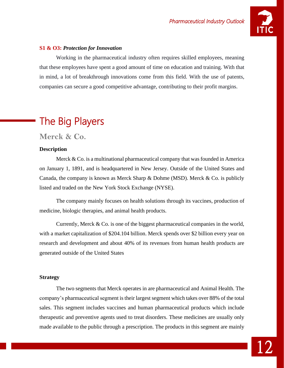

#### **S1 & O3:** *Protection for Innovation*

Working in the pharmaceutical industry often requires skilled employees, meaning that these employees have spent a good amount of time on education and training. With that in mind, a lot of breakthrough innovations come from this field. With the use of patents, companies can secure a good competitive advantage, contributing to their profit margins.

# The Big Players

**Merck & Co.**

#### **Description**

Merck  $& Co.$  is a multinational pharmaceutical company that was founded in America on January 1, 1891, and is headquartered in New Jersey. Outside of the United States and Canada, the company is known as Merck Sharp & Dohme (MSD). Merck & Co. is publicly listed and traded on the New York Stock Exchange (NYSE).

The company mainly focuses on health solutions through its vaccines, production of medicine, biologic therapies, and animal health products.

Currently, Merck & Co. is one of the biggest pharmaceutical companies in the world, with a market capitalization of \$204.104 billion. Merck spends over \$2 billion every year on research and development and about 40% of its revenues from human health products are generated outside of the United States

#### **Strategy**

The two segments that Merck operates in are pharmaceutical and Animal Health. The company's pharmaceutical segment is their largest segment which takes over 88% of the total sales. This segment includes vaccines and human pharmaceutical products which include therapeutic and preventive agents used to treat disorders. These medicines are usually only made available to the public through a prescription. The products in this segment are mainly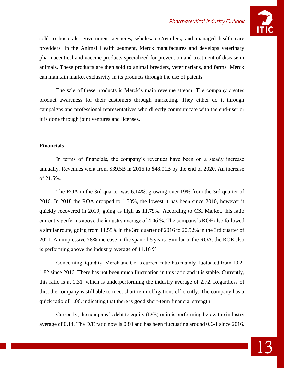

sold to hospitals, government agencies, wholesalers/retailers, and managed health care providers. In the Animal Health segment, Merck manufactures and develops veterinary pharmaceutical and vaccine products specialized for prevention and treatment of disease in animals. These products are then sold to animal breeders, veterinarians, and farms. Merck can maintain market exclusivity in its products through the use of patents.

The sale of these products is Merck's main revenue stream. The company creates product awareness for their customers through marketing. They either do it through campaigns and professional representatives who directly communicate with the end-user or it is done through joint ventures and licenses.

#### **Financials**

In terms of financials, the company's revenues have been on a steady increase annually. Revenues went from \$39.5B in 2016 to \$48.01B by the end of 2020. An increase of 21.5%.

The ROA in the 3rd quarter was 6.14%, growing over 19% from the 3rd quarter of 2016. In 2018 the ROA dropped to 1.53%, the lowest it has been since 2010, however it quickly recovered in 2019, going as high as 11.79%. According to CSI Market, this ratio currently performs above the industry average of 4.06 %. The company's ROE also followed a similar route, going from 11.55% in the 3rd quarter of 2016 to 20.52% in the 3rd quarter of 2021. An impressive 78% increase in the span of 5 years. Similar to the ROA, the ROE also is performing above the industry average of 11.16 %

Concerning liquidity, Merck and Co.'s current ratio has mainly fluctuated from 1.02- 1.82 since 2016. There has not been much fluctuation in this ratio and it is stable. Currently, this ratio is at 1.31, which is underperforming the industry average of 2.72. Regardless of this, the company is still able to meet short term obligations efficiently. The company has a quick ratio of 1.06, indicating that there is good short-term financial strength.

Currently, the company's debt to equity (D/E) ratio is performing below the industry average of 0.14. The D/E ratio now is 0.80 and has been fluctuating around 0.6-1 since 2016.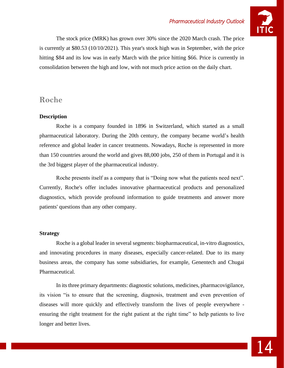

The stock price (MRK) has grown over 30% since the 2020 March crash. The price is currently at \$80.53 (10/10/2021). This year's stock high was in September, with the price hitting \$84 and its low was in early March with the price hitting \$66. Price is currently in consolidation between the high and low, with not much price action on the daily chart.

#### **Roche**

#### **Description**

Roche is a company founded in 1896 in Switzerland, which started as a small pharmaceutical laboratory. During the 20th century, the company became world's health reference and global leader in cancer treatments. Nowadays, Roche is represented in more than 150 countries around the world and gives 88,000 jobs, 250 of them in Portugal and it is the 3rd biggest player of the pharmaceutical industry.

Roche presents itself as a company that is "Doing now what the patients need next". Currently, Roche's offer includes innovative pharmaceutical products and personalized diagnostics, which provide profound information to guide treatments and answer more patients' questions than any other company.

#### **Strategy**

Roche is a global leader in several segments: biopharmaceutical, in-vitro diagnostics, and innovating procedures in many diseases, especially cancer-related. Due to its many business areas, the company has some subsidiaries, for example, Genentech and Chugai Pharmaceutical.

In its three primary departments: diagnostic solutions, medicines, pharmacovigilance, its vision "is to ensure that the screening, diagnosis, treatment and even prevention of diseases will more quickly and effectively transform the lives of people everywhere ensuring the right treatment for the right patient at the right time" to help patients to live longer and better lives.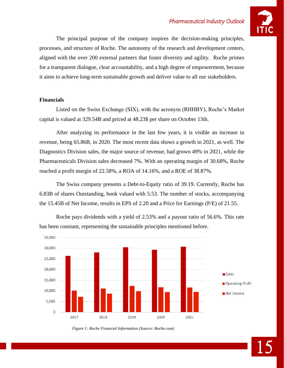

The principal purpose of the company inspires the decision-making principles, processes, and structure of Roche. The autonomy of the research and development centers, aligned with the over 200 external partners that foster diversity and agility. Roche primes for a transparent dialogue, clear accountability, and a high degree of empowerment, because it aims to achieve long-term sustainable growth and deliver value to all our stakeholders.

#### **Financials**

Listed on the Swiss Exchange (SIX), with the acronym (RHHBY), Roche's Market capital is valued at 329.54B and priced at 48.23\$ per share on October 13th.

After analyzing its performance in the last few years, it is visible an increase in revenue, being 65.86B, in 2020. The most recent data shows a growth in 2021, as well. The Diagnostics Division sales, the major source of revenue, had grown 49% in 2021, while the Pharmaceuticals Division sales decreased 7%. With an operating margin of 30.68%, Roche reached a profit margin of 22.58%, a ROA of 14.16%, and a ROE of 38.87%.

The Swiss company presents a Debt-to-Equity ratio of 39.19. Currently, Roche has 6.83B of shares Outstanding, book valued with 5.53. The number of stocks, accompanying the 15.45B of Net Income, results in EPS of 2.20 and a Price for Earnings (P/E) of 21.55.



Roche pays dividends with a yield of 2.53% and a payout ratio of 56.6%. This rate has been constant, representing the sustainable principles mentioned before.

*Figure 1: Roche Financial Information (Source: Roche.com)*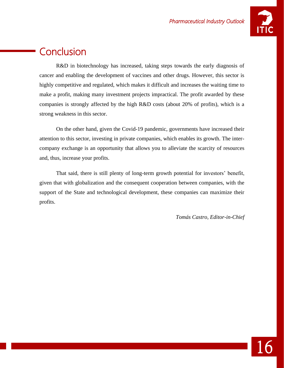

## **Conclusion**

R&D in biotechnology has increased, taking steps towards the early diagnosis of cancer and enabling the development of vaccines and other drugs. However, this sector is highly competitive and regulated, which makes it difficult and increases the waiting time to make a profit, making many investment projects impractical. The profit awarded by these companies is strongly affected by the high R&D costs (about 20% of profits), which is a strong weakness in this sector.

On the other hand, given the Covid-19 pandemic, governments have increased their attention to this sector, investing in private companies, which enables its growth. The intercompany exchange is an opportunity that allows you to alleviate the scarcity of resources and, thus, increase your profits.

That said, there is still plenty of long-term growth potential for investors' benefit, given that with globalization and the consequent cooperation between companies, with the support of the State and technological development, these companies can maximize their profits.

*Tomás Castro, Editor-in-Chief*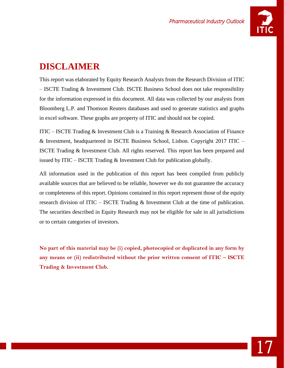

## **DISCLAIMER**

This report was elaborated by Equity Research Analysts from the Research Division of ITIC – ISCTE Trading & Investment Club. ISCTE Business School does not take responsibility for the information expressed in this document. All data was collected by our analysts from Bloomberg L.P. and Thomson Reuters databases and used to generate statistics and graphs in excel software. These graphs are property of ITIC and should not be copied.

ITIC – ISCTE Trading & Investment Club is a Training & Research Association of Finance & Investment, headquartered in ISCTE Business School, Lisbon. Copyright 2017 ITIC – ISCTE Trading & Investment Club. All rights reserved. This report has been prepared and issued by ITIC – ISCTE Trading  $&$  Investment Club for publication globally.

All information used in the publication of this report has been compiled from publicly available sources that are believed to be reliable, however we do not guarantee the accuracy or completeness of this report. Opinions contained in this report represent those of the equity research division of ITIC – ISCTE Trading & Investment Club at the time of publication. The securities described in Equity Research may not be eligible for sale in all jurisdictions or to certain categories of investors.

**No part of this material may be (i) copied, photocopied or duplicated in any form by any means or (ii) redistributed without the prior written consent of ITIC – ISCTE Trading & Investment Club.**